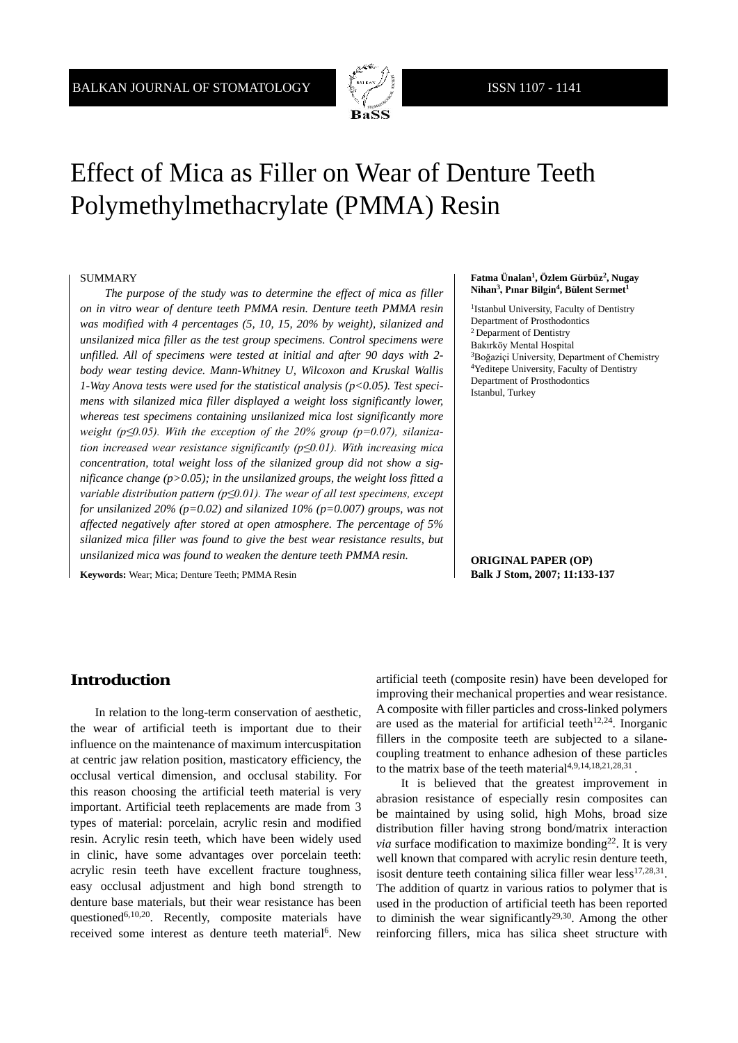

# Effect of Mica as Filler on Wear of Denture Teeth Polymethylmethacrylate (PMMA) Resin

#### SUMMARY

*The purpose of the study was to determine the effect of mica as filler on in vitro wear of denture teeth PMMA resin. Denture teeth PMMA resin was modified with 4 percentages (5, 10, 15, 20% by weight), silanized and unsilanized mica filler as the test group specimens. Control specimens were unfilled. All of specimens were tested at initial and after 90 days with 2 body wear testing device. Mann-Whitney U, Wilcoxon and Kruskal Wallis 1-Way Anova tests were used for the statistical analysis (p<0.05). Test specimens with silanized mica filler displayed a weight loss significantly lower, whereas test specimens containing unsilanized mica lost significantly more weight (p≤0.05). With the exception of the 20% group (p=0.07), silanization increased wear resistance significantly (p≤0.01). With increasing mica concentration, total weight loss of the silanized group did not show a significance change (p>0.05); in the unsilanized groups, the weight loss fitted a variable distribution pattern (p≤0.01). The wear of all test specimens, except for unsilanized 20% (p=0.02) and silanized 10% (p=0.007) groups, was not affected negatively after stored at open atmosphere. The percentage of 5% silanized mica filler was found to give the best wear resistance results, but unsilanized mica was found to weaken the denture teeth PMMA resin.*

**Keywords:** Wear; Mica; Denture Teeth; PMMA Resin

#### **Fatma Ünalan1, Özlem Gürbüz2, Nugay Nihan<sup>3</sup>**, Pınar Bilgin<sup>4</sup>, Bülent Sermet<sup>1</sup>

<sup>1</sup>Istanbul University, Faculty of Dentistry Department of Prosthodontics 2 Deparment of Dentistry Bakırköy Mental Hospital <sup>3</sup>Boğaziçi University, Department of Chemistry 4Yeditepe University, Faculty of Dentistry Department of Prosthodontics Istanbul, Turkey

**ORIGINAL PAPER (OP) Balk J Stom, 2007; 11:133-137**

## **Introduction**

In relation to the long-term conservation of aesthetic, the wear of artificial teeth is important due to their influence on the maintenance of maximum intercuspitation at centric jaw relation position, masticatory efficiency, the occlusal vertical dimension, and occlusal stability. For this reason choosing the artificial teeth material is very important. Artificial teeth replacements are made from 3 types of material: porcelain, acrylic resin and modified resin. Acrylic resin teeth, which have been widely used in clinic, have some advantages over porcelain teeth: acrylic resin teeth have excellent fracture toughness, easy occlusal adjustment and high bond strength to denture base materials, but their wear resistance has been questioned6,10,20. Recently, composite materials have received some interest as denture teeth material<sup>6</sup>. New

artificial teeth (composite resin) have been developed for improving their mechanical properties and wear resistance. A composite with filler particles and cross-linked polymers are used as the material for artificial teeth<sup>12,24</sup>. Inorganic fillers in the composite teeth are subjected to a silanecoupling treatment to enhance adhesion of these particles to the matrix base of the teeth material<sup>4,9,14,18,21,28,31</sup>.

It is believed that the greatest improvement in abrasion resistance of especially resin composites can be maintained by using solid, high Mohs, broad size distribution filler having strong bond/matrix interaction *via* surface modification to maximize bonding<sup>22</sup>. It is very well known that compared with acrylic resin denture teeth, isosit denture teeth containing silica filler wear less $^{17,28,31}$ . The addition of quartz in various ratios to polymer that is used in the production of artificial teeth has been reported to diminish the wear significantly<sup>29,30</sup>. Among the other reinforcing fillers, mica has silica sheet structure with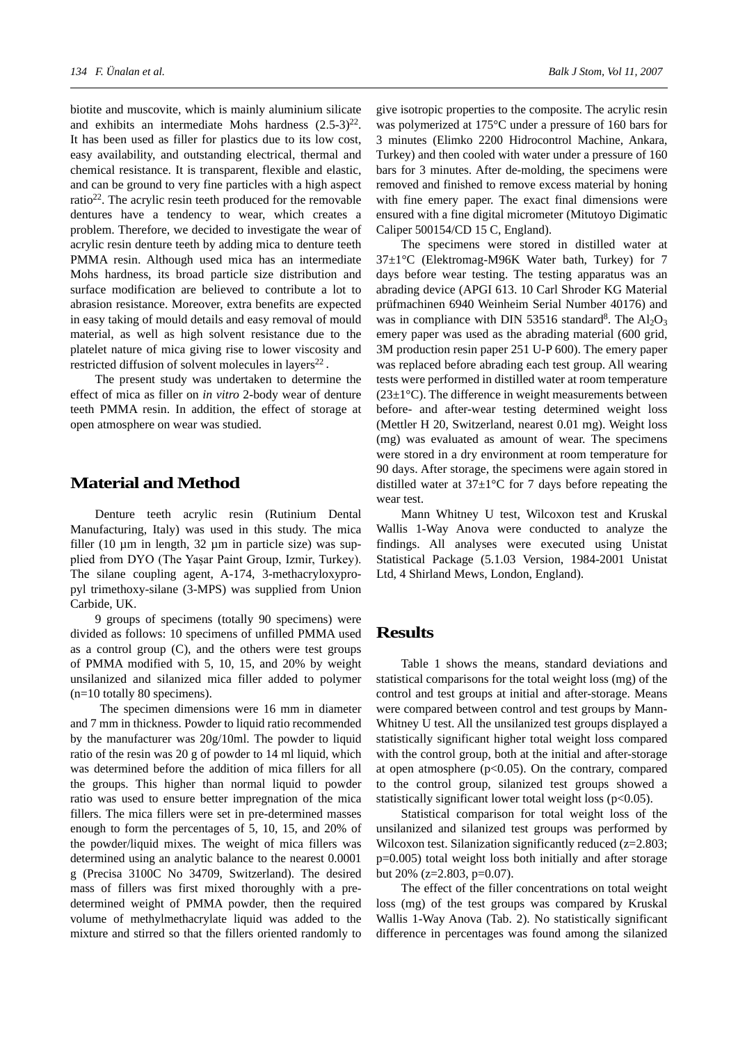biotite and muscovite, which is mainly aluminium silicate and exhibits an intermediate Mohs hardness  $(2.5-3)^{22}$ . It has been used as filler for plastics due to its low cost, easy availability, and outstanding electrical, thermal and chemical resistance. It is transparent, flexible and elastic, and can be ground to very fine particles with a high aspect ratio22. The acrylic resin teeth produced for the removable dentures have a tendency to wear, which creates a problem. Therefore, we decided to investigate the wear of acrylic resin denture teeth by adding mica to denture teeth PMMA resin. Although used mica has an intermediate Mohs hardness, its broad particle size distribution and surface modification are believed to contribute a lot to abrasion resistance. Moreover, extra benefits are expected in easy taking of mould details and easy removal of mould material, as well as high solvent resistance due to the platelet nature of mica giving rise to lower viscosity and restricted diffusion of solvent molecules in layers<sup>22</sup>.

The present study was undertaken to determine the effect of mica as filler on *in vitro* 2-body wear of denture teeth PMMA resin. In addition, the effect of storage at open atmosphere on wear was studied.

#### **Material and Method**

Denture teeth acrylic resin (Rutinium Dental Manufacturing, Italy) was used in this study. The mica filler (10  $\mu$ m in length, 32  $\mu$ m in particle size) was supplied from DYO (The Yaşar Paint Group, Izmir, Turkey). The silane coupling agent, A-174, 3-methacryloxypropyl trimethoxy-silane (3-MPS) was supplied from Union Carbide, UK.

9 groups of specimens (totally 90 specimens) were divided as follows: 10 specimens of unfilled PMMA used as a control group (C), and the others were test groups of PMMA modified with 5, 10, 15, and 20% by weight unsilanized and silanized mica filler added to polymer (n=10 totally 80 specimens).

 The specimen dimensions were 16 mm in diameter and 7 mm in thickness. Powder to liquid ratio recommended by the manufacturer was 20g/10ml. The powder to liquid ratio of the resin was 20 g of powder to 14 ml liquid, which was determined before the addition of mica fillers for all the groups. This higher than normal liquid to powder ratio was used to ensure better impregnation of the mica fillers. The mica fillers were set in pre-determined masses enough to form the percentages of 5, 10, 15, and 20% of the powder/liquid mixes. The weight of mica fillers was determined using an analytic balance to the nearest 0.0001 g (Precisa 3100C No 34709, Switzerland). The desired mass of fillers was first mixed thoroughly with a predetermined weight of PMMA powder, then the required volume of methylmethacrylate liquid was added to the mixture and stirred so that the fillers oriented randomly to

give isotropic properties to the composite. The acrylic resin was polymerized at 175°C under a pressure of 160 bars for 3 minutes (Elimko 2200 Hidrocontrol Machine, Ankara, Turkey) and then cooled with water under a pressure of 160 bars for 3 minutes. After de-molding, the specimens were removed and finished to remove excess material by honing with fine emery paper. The exact final dimensions were ensured with a fine digital micrometer (Mitutoyo Digimatic Caliper 500154/CD 15 C, England).

The specimens were stored in distilled water at 37±1°C (Elektromag-M96K Water bath, Turkey) for 7 days before wear testing. The testing apparatus was an abrading device (APGI 613. 10 Carl Shroder KG Material prüfmachinen 6940 Weinheim Serial Number 40176) and was in compliance with DIN 53516 standard<sup>8</sup>. The  $Al_2O_3$ emery paper was used as the abrading material (600 grid, 3M production resin paper 251 U-P 600). The emery paper was replaced before abrading each test group. All wearing tests were performed in distilled water at room temperature  $(23\pm1\,^{\circ}\mathrm{C})$ . The difference in weight measurements between before- and after-wear testing determined weight loss (Mettler H 20, Switzerland, nearest 0.01 mg). Weight loss (mg) was evaluated as amount of wear. The specimens were stored in a dry environment at room temperature for 90 days. After storage, the specimens were again stored in distilled water at  $37\pm1\degree$ C for 7 days before repeating the wear test.

Mann Whitney U test, Wilcoxon test and Kruskal Wallis 1-Way Anova were conducted to analyze the findings. All analyses were executed using Unistat Statistical Package (5.1.03 Version, 1984-2001 Unistat Ltd, 4 Shirland Mews, London, England).

#### **Results**

Table 1 shows the means, standard deviations and statistical comparisons for the total weight loss (mg) of the control and test groups at initial and after-storage. Means were compared between control and test groups by Mann-Whitney U test. All the unsilanized test groups displayed a statistically significant higher total weight loss compared with the control group, both at the initial and after-storage at open atmosphere  $(p<0.05)$ . On the contrary, compared to the control group, silanized test groups showed a statistically significant lower total weight loss ( $p<0.05$ ).

Statistical comparison for total weight loss of the unsilanized and silanized test groups was performed by Wilcoxon test. Silanization significantly reduced (z=2.803; p=0.005) total weight loss both initially and after storage but 20% (z=2.803, p=0.07).

The effect of the filler concentrations on total weight loss (mg) of the test groups was compared by Kruskal Wallis 1-Way Anova (Tab. 2). No statistically significant difference in percentages was found among the silanized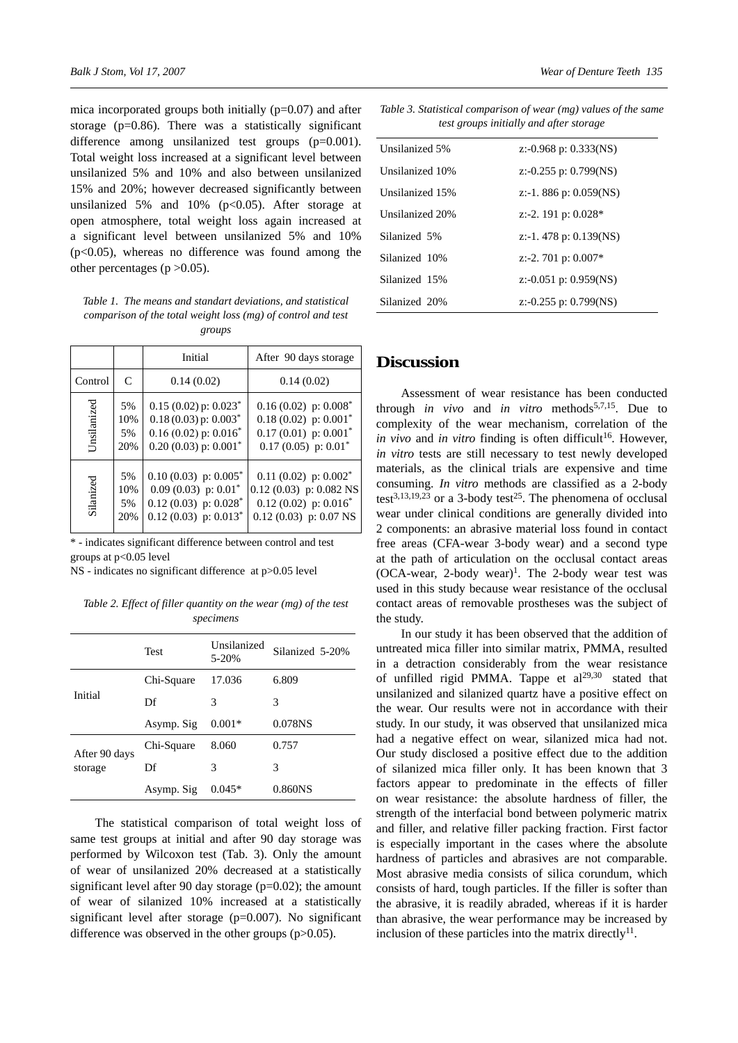mica incorporated groups both initially (p=0.07) and after storage (p=0.86). There was a statistically significant difference among unsilanized test groups (p=0.001). Total weight loss increased at a significant level between unsilanized 5% and 10% and also between unsilanized 15% and 20%; however decreased significantly between unsilanized 5% and 10% ( $p<0.05$ ). After storage at open atmosphere, total weight loss again increased at a significant level between unsilanized 5% and 10%  $(p<0.05)$ , whereas no difference was found among the other percentages ( $p > 0.05$ ).

*Table 1. The means and standart deviations, and statistical comparison of the total weight loss (mg) of control and test groups*

|             |              | Initial                              | After 90 days storage                |
|-------------|--------------|--------------------------------------|--------------------------------------|
| Control     | $\mathsf{C}$ | 0.14(0.02)                           | 0.14(0.02)                           |
| Unsilanized | 5%           | $0.15(0.02)$ p: $0.023*$             | $0.16(0.02)$ p: $0.008$ <sup>*</sup> |
|             | 10%          | $0.18(0.03)$ p: $0.003^*$            | $0.18(0.02)$ p: $0.001$ <sup>*</sup> |
|             | 5%           | $0.16(0.02)$ p: $0.016^*$            | $0.17(0.01)$ p: $0.001^*$            |
|             | 20%          | $0.20(0.03)$ p: $0.001$ <sup>*</sup> | $0.17(0.05)$ p: $0.01^*$             |
| Silanized   | 5%           | $0.10(0.03)$ p: $0.005^*$            | $0.11(0.02)$ p: $0.002^*$            |
|             | 10%          | $0.09(0.03)$ p: $0.01^*$             | $0.12(0.03)$ p: 0.082 NS             |
|             | 5%           | $0.12(0.03)$ p: $0.028$ <sup>*</sup> | $0.12(0.02)$ p: $0.016^*$            |
|             | 20%          | $0.12(0.03)$ p: $0.013^*$            | $0.12(0.03)$ p: 0.07 NS              |

\* - indicates significant difference between control and test groups at p<0.05 level

NS - indicates no significant difference at p>0.05 level

*Table 2. Effect of filler quantity on the wear (mg) of the test specimens* 

|               | <b>Test</b> | Unsilanized<br>$5 - 20%$ | Silanized 5-20% |
|---------------|-------------|--------------------------|-----------------|
|               | Chi-Square  | 17.036                   | 6.809           |
| Initial       | Df          | 3                        | 3               |
|               | Asymp. Sig  | $0.001*$                 | 0.078NS         |
| After 90 days | Chi-Square  | 8.060                    | 0.757           |
| storage       | Df          | 3                        | 3               |
|               | Asymp. Sig  | $0.045*$                 | 0.860NS         |

The statistical comparison of total weight loss of same test groups at initial and after 90 day storage was performed by Wilcoxon test (Tab. 3). Only the amount of wear of unsilanized 20% decreased at a statistically significant level after 90 day storage  $(p=0.02)$ ; the amount of wear of silanized 10% increased at a statistically significant level after storage (p=0.007). No significant difference was observed in the other groups (p>0.05).

*Table 3. Statistical comparison of wear (mg) values of the same test groups initially and after storage* 

| Unsilanized 5%  | z:-0.968 p: $0.333(NS)$   |  |
|-----------------|---------------------------|--|
| Unsilanized 10% | z:-0.255 p: 0.799(NS)     |  |
| Unsilanized 15% | z:-1. 886 p: $0.059$ (NS) |  |
| Unsilanized 20% | z:-2. 191 p: $0.028*$     |  |
| Silanized 5%    | z:-1. 478 p: $0.139$ (NS) |  |
| Silanized 10%   | z:-2. 701 p: $0.007*$     |  |
| Silanized 15%   | z:-0.051 p: 0.959(NS)     |  |
| Silanized 20%   | z:-0.255 p: 0.799(NS)     |  |

#### **Discussion**

Assessment of wear resistance has been conducted through *in vivo* and *in vitro* methods<sup>5,7,15</sup>. Due to complexity of the wear mechanism, correlation of the *in vivo* and *in vitro* finding is often difficult<sup>16</sup>. However, *in vitro* tests are still necessary to test newly developed materials, as the clinical trials are expensive and time consuming. *In vitro* methods are classified as a 2-body test<sup>3,13,19,23</sup> or a 3-body test<sup>25</sup>. The phenomena of occlusal wear under clinical conditions are generally divided into 2 components: an abrasive material loss found in contact free areas (CFA-wear 3-body wear) and a second type at the path of articulation on the occlusal contact areas  $(OCA-wear, 2-body wear)<sup>1</sup>$ . The 2-body wear test was used in this study because wear resistance of the occlusal contact areas of removable prostheses was the subject of the study.

In our study it has been observed that the addition of untreated mica filler into similar matrix, PMMA, resulted in a detraction considerably from the wear resistance of unfilled rigid PMMA. Tappe et  $al^{29,30}$  stated that unsilanized and silanized quartz have a positive effect on the wear. Our results were not in accordance with their study. In our study, it was observed that unsilanized mica had a negative effect on wear, silanized mica had not. Our study disclosed a positive effect due to the addition of silanized mica filler only. It has been known that 3 factors appear to predominate in the effects of filler on wear resistance: the absolute hardness of filler, the strength of the interfacial bond between polymeric matrix and filler, and relative filler packing fraction. First factor is especially important in the cases where the absolute hardness of particles and abrasives are not comparable. Most abrasive media consists of silica corundum, which consists of hard, tough particles. If the filler is softer than the abrasive, it is readily abraded, whereas if it is harder than abrasive, the wear performance may be increased by inclusion of these particles into the matrix directly<sup>11</sup>.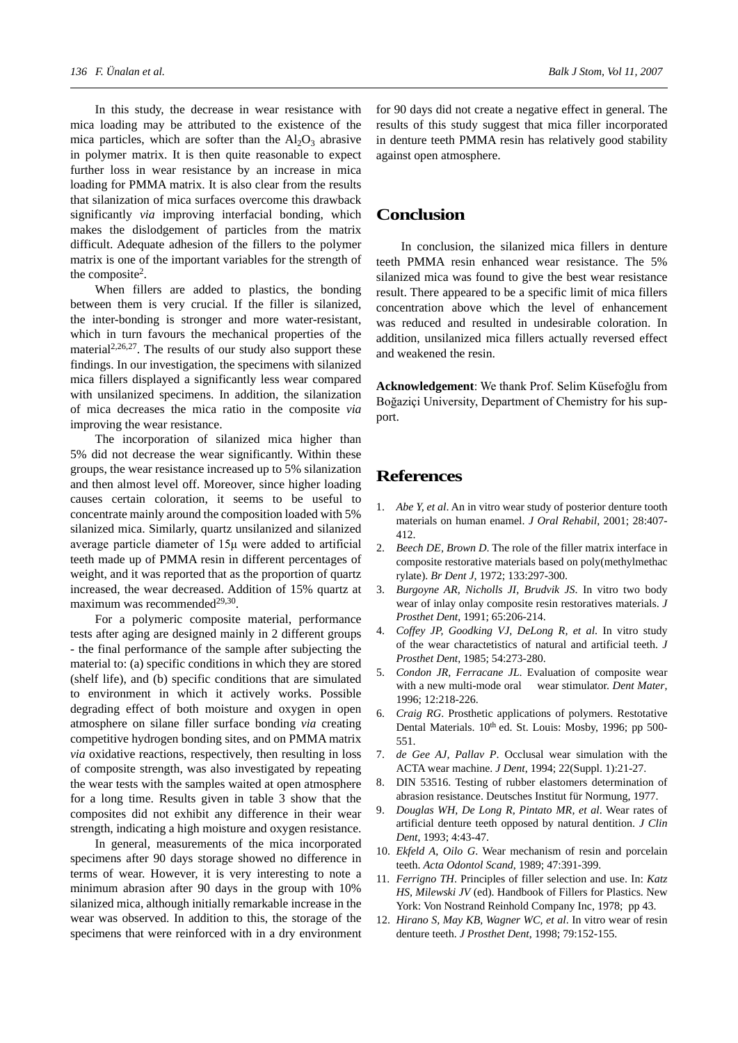In this study, the decrease in wear resistance with mica loading may be attributed to the existence of the mica particles, which are softer than the  $Al_2O_3$  abrasive in polymer matrix. It is then quite reasonable to expect further loss in wear resistance by an increase in mica loading for PMMA matrix. It is also clear from the results that silanization of mica surfaces overcome this drawback significantly *via* improving interfacial bonding, which makes the dislodgement of particles from the matrix difficult. Adequate adhesion of the fillers to the polymer matrix is one of the important variables for the strength of the composite<sup>2</sup>.

When fillers are added to plastics, the bonding between them is very crucial. If the filler is silanized, the inter-bonding is stronger and more water-resistant, which in turn favours the mechanical properties of the material<sup>2,26,27</sup>. The results of our study also support these findings. In our investigation, the specimens with silanized mica fillers displayed a significantly less wear compared with unsilanized specimens. In addition, the silanization of mica decreases the mica ratio in the composite *via* improving the wear resistance.

The incorporation of silanized mica higher than 5% did not decrease the wear significantly. Within these groups, the wear resistance increased up to 5% silanization and then almost level off. Moreover, since higher loading causes certain coloration, it seems to be useful to concentrate mainly around the composition loaded with 5% silanized mica. Similarly, quartz unsilanized and silanized average particle diameter of 15μ were added to artificial teeth made up of PMMA resin in different percentages of weight, and it was reported that as the proportion of quartz increased, the wear decreased. Addition of 15% quartz at maximum was recommended $29,30$ .

For a polymeric composite material, performance tests after aging are designed mainly in 2 different groups - the final performance of the sample after subjecting the material to: (a) specific conditions in which they are stored (shelf life), and (b) specific conditions that are simulated to environment in which it actively works. Possible degrading effect of both moisture and oxygen in open atmosphere on silane filler surface bonding *via* creating competitive hydrogen bonding sites, and on PMMA matrix *via* oxidative reactions, respectively, then resulting in loss of composite strength, was also investigated by repeating the wear tests with the samples waited at open atmosphere for a long time. Results given in table 3 show that the composites did not exhibit any difference in their wear strength, indicating a high moisture and oxygen resistance.

In general, measurements of the mica incorporated specimens after 90 days storage showed no difference in terms of wear. However, it is very interesting to note a minimum abrasion after 90 days in the group with 10% silanized mica, although initially remarkable increase in the wear was observed. In addition to this, the storage of the specimens that were reinforced with in a dry environment

for 90 days did not create a negative effect in general. The results of this study suggest that mica filler incorporated in denture teeth PMMA resin has relatively good stability against open atmosphere.

#### **Conclusion**

In conclusion, the silanized mica fillers in denture teeth PMMA resin enhanced wear resistance. The 5% silanized mica was found to give the best wear resistance result. There appeared to be a specific limit of mica fillers concentration above which the level of enhancement was reduced and resulted in undesirable coloration. In addition, unsilanized mica fillers actually reversed effect and weakened the resin.

**Acknowledgement**: We thank Prof. Selim Küsefoğlu from Boğaziçi University, Department of Chemistry for his support.

## **References**

- 1. *Abe Y, et al*. An in vitro wear study of posterior denture tooth materials on human enamel. *J Oral Rehabil*, 2001; 28:407- 412.
- 2. *Beech DE, Brown D*. The role of the filler matrix interface in composite restorative materials based on poly(methylmethac rylate). *Br Dent J*, 1972; 133:297-300.
- 3. *Burgoyne AR, Nicholls JI, Brudvik JS*. In vitro two body wear of inlay onlay composite resin restoratives materials. *J Prosthet Dent*, 1991; 65:206-214.
- 4. *Coffey JP, Goodking VJ, DeLong R, et al*. In vitro study of the wear charactetistics of natural and artificial teeth. *J Prosthet Dent*, 1985; 54:273-280.
- 5. *Condon JR, Ferracane JL*. Evaluation of composite wear with a new multi-mode oral wear stimulator. *Dent Mater*, 1996; 12:218-226.
- 6. *Craig RG*. Prosthetic applications of polymers. Restotative Dental Materials. 10<sup>th</sup> ed. St. Louis: Mosby, 1996; pp 500-551.
- 7. *de Gee AJ, Pallav P*. Occlusal wear simulation with the ACTA wear machine. *J Dent*, 1994; 22(Suppl. 1):21-27.
- 8. DIN 53516. Testing of rubber elastomers determination of abrasion resistance. Deutsches Institut für Normung, 1977.
- 9. *Douglas WH, De Long R, Pintato MR, et al*. Wear rates of artificial denture teeth opposed by natural dentition. *J Clin Dent*, 1993; 4:43-47.
- 10. *Ekfeld A, Oilo G*. Wear mechanism of resin and porcelain teeth. *Acta Odontol Scand*, 1989; 47:391-399.
- 11. *Ferrigno TH*. Principles of filler selection and use. In: *Katz HS, Milewski JV* (ed). Handbook of Fillers for Plastics. New York: Von Nostrand Reinhold Company Inc, 1978; pp 43.
- 12. *Hirano S, May KB, Wagner WC, et al*. In vitro wear of resin denture teeth. *J Prosthet Dent*, 1998; 79:152-155.